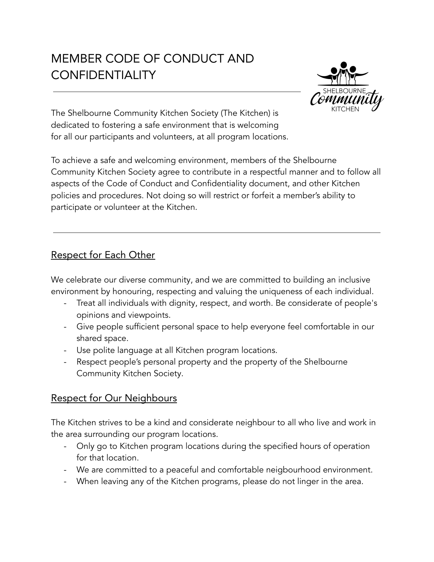# MEMBER CODE OF CONDUCT AND **CONFIDENTIALITY**



The Shelbourne Community Kitchen Society (The Kitchen) is dedicated to fostering a safe environment that is welcoming for all our participants and volunteers, at all program locations.

To achieve a safe and welcoming environment, members of the Shelbourne Community Kitchen Society agree to contribute in a respectful manner and to follow all aspects of the Code of Conduct and Confidentiality document, and other Kitchen policies and procedures. Not doing so will restrict or forfeit a member's ability to participate or volunteer at the Kitchen.

## Respect for Each Other

We celebrate our diverse community, and we are committed to building an inclusive environment by honouring, respecting and valuing the uniqueness of each individual.

- Treat all individuals with dignity, respect, and worth. Be considerate of people's opinions and viewpoints.
- Give people sufficient personal space to help everyone feel comfortable in our shared space.
- Use polite language at all Kitchen program locations.
- Respect people's personal property and the property of the Shelbourne Community Kitchen Society.

#### Respect for Our Neighbours

The Kitchen strives to be a kind and considerate neighbour to all who live and work in the area surrounding our program locations.

- Only go to Kitchen program locations during the specified hours of operation for that location.
- We are committed to a peaceful and comfortable neigbourhood environment.
- When leaving any of the Kitchen programs, please do not linger in the area.